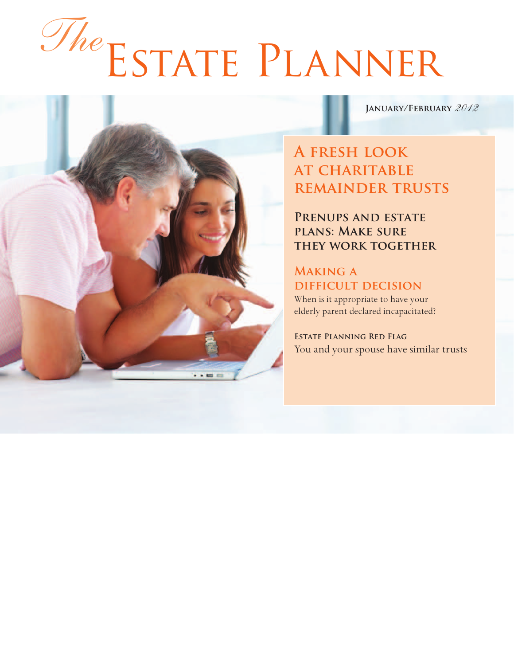# Estate Planner *The*

**January/February** *2012*

# **A fresh look at charitable remainder trusts**

**Prenups and estate plans: Make sure they work together**

### **Making a difficult decision**

When is it appropriate to have your elderly parent declared incapacitated?

**Estate Planning Red Flag** You and your spouse have similar trusts

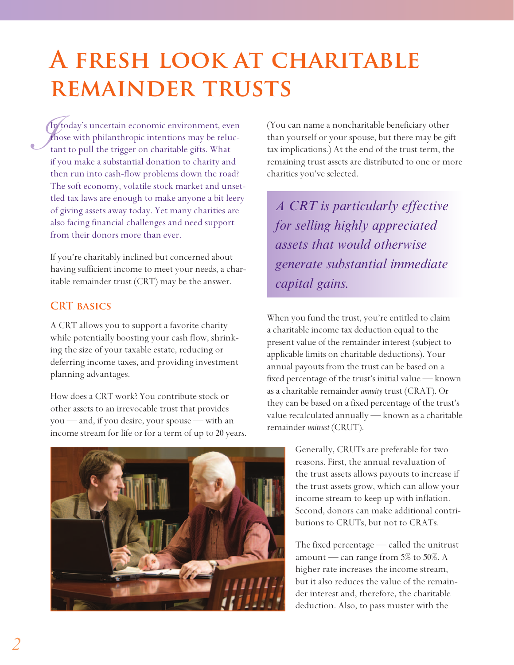# **A fresh look at charitable remainder trusts**

 $\int_{\frac{1}{x}}^{\frac{1}{x}}$ In today's uncertain economic environment, even those with philanthropic intentions may be reluctant to pull the trigger on charitable gifts. What if you make a substantial donation to charity and then run into cash-flow problems down the road? The soft economy, volatile stock market and unsettled tax laws are enough to make anyone a bit leery of giving assets away today. Yet many charities are also facing financial challenges and need support from their donors more than ever.

If you're charitably inclined but concerned about having sufficient income to meet your needs, a charitable remainder trust (CRT) may be the answer.

#### **CRT basics**

A CRT allows you to support a favorite charity while potentially boosting your cash flow, shrinking the size of your taxable estate, reducing or deferring income taxes, and providing investment planning advantages.

How does a CRT work? You contribute stock or other assets to an irrevocable trust that provides you — and, if you desire, your spouse — with an income stream for life or for a term of up to 20 years.



(You can name a noncharitable beneficiary other than yourself or your spouse, but there may be gift tax implications.) At the end of the trust term, the remaining trust assets are distributed to one or more charities you've selected.

*A CRT is particularly effective for selling highly appreciated assets that would otherwise generate substantial immediate capital gains.*

When you fund the trust, you're entitled to claim a charitable income tax deduction equal to the present value of the remainder interest (subject to applicable limits on charitable deductions). Your annual payouts from the trust can be based on a fixed percentage of the trust's initial value — known as a charitable remainder *annuity* trust (CRAT). Or they can be based on a fixed percentage of the trust's value recalculated annually — known as a charitable remainder *unitrust* (CRUT).

> Generally, CRUTs are preferable for two reasons. First, the annual revaluation of the trust assets allows payouts to increase if the trust assets grow, which can allow your income stream to keep up with inflation. Second, donors can make additional contributions to CRUTs, but not to CRATs.

> The fixed percentage — called the unitrust amount — can range from 5% to 50%. A higher rate increases the income stream, but it also reduces the value of the remainder interest and, therefore, the charitable deduction. Also, to pass muster with the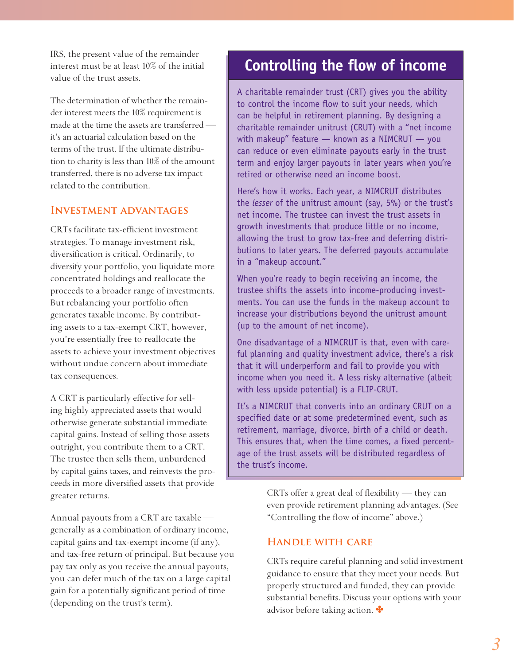IRS, the present value of the remainder interest must be at least 10% of the initial value of the trust assets.

The determination of whether the remainder interest meets the 10% requirement is made at the time the assets are transferred it's an actuarial calculation based on the terms of the trust. If the ultimate distribution to charity is less than 10% of the amount transferred, there is no adverse tax impact related to the contribution.

#### **Investment advantages**

CRTs facilitate tax-efficient investment strategies. To manage investment risk, diversification is critical. Ordinarily, to diversify your portfolio, you liquidate more concentrated holdings and reallocate the proceeds to a broader range of investments. But rebalancing your portfolio often generates taxable income. By contributing assets to a tax-exempt CRT, however, you're essentially free to reallocate the assets to achieve your investment objectives without undue concern about immediate tax consequences.

A CRT is particularly effective for selling highly appreciated assets that would otherwise generate substantial immediate capital gains. Instead of selling those assets outright, you contribute them to a CRT. The trustee then sells them, unburdened by capital gains taxes, and reinvests the proceeds in more diversified assets that provide greater returns.

Annual payouts from a CRT are taxable generally as a combination of ordinary income, capital gains and tax-exempt income (if any), and tax-free return of principal. But because you pay tax only as you receive the annual payouts, you can defer much of the tax on a large capital gain for a potentially significant period of time (depending on the trust's term).

# **Controlling the flow of income**

A charitable remainder trust (CRT) gives you the ability to control the income flow to suit your needs, which can be helpful in retirement planning. By designing a charitable remainder unitrust (CRUT) with a "net income with makeup" feature  $-$  known as a NIMCRUT  $-$  you can reduce or even eliminate payouts early in the trust term and enjoy larger payouts in later years when you're retired or otherwise need an income boost.

Here's how it works. Each year, a NIMCRUT distributes the *lesser* of the unitrust amount (say, 5%) or the trust's net income. The trustee can invest the trust assets in growth investments that produce little or no income, allowing the trust to grow tax-free and deferring distributions to later years. The deferred payouts accumulate in a "makeup account."

When you're ready to begin receiving an income, the trustee shifts the assets into income-producing investments. You can use the funds in the makeup account to increase your distributions beyond the unitrust amount (up to the amount of net income).

One disadvantage of a NIMCRUT is that, even with careful planning and quality investment advice, there's a risk that it will underperform and fail to provide you with income when you need it. A less risky alternative (albeit with less upside potential) is a FLIP-CRUT.

It's a NIMCRUT that converts into an ordinary CRUT on a specified date or at some predetermined event, such as retirement, marriage, divorce, birth of a child or death. This ensures that, when the time comes, a fixed percentage of the trust assets will be distributed regardless of the trust's income.

> CRTs offer a great deal of flexibility — they can even provide retirement planning advantages. (See "Controlling the flow of income" above.)

#### **Handle with care**

CRTs require careful planning and solid investment guidance to ensure that they meet your needs. But properly structured and funded, they can provide substantial benefits. Discuss your options with your advisor before taking action.  $\bullet$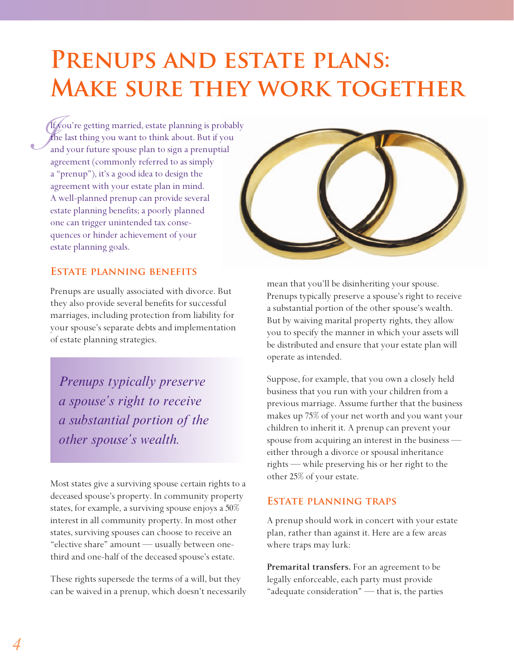# PRENUPS AND ESTATE PLANS: **Make sure they work together**

 $\int_{a}^{f}$ If you're getting married, estate planning is probably the last thing you want to think about. But if you and your future spouse plan to sign a prenuptial agreement (commonly referred to as simply a "prenup"), it's a good idea to design the agreement with your estate plan in mind. A well-planned prenup can provide several estate planning benefits; a poorly planned one can trigger unintended tax consequences or hinder achievement of your estate planning goals.



#### **Estate planning benefits**

Prenups are usually associated with divorce. But they also provide several benefits for successful marriages, including protection from liability for your spouse's separate debts and implementation of estate planning strategies.

*Prenups typically preserve a spouse's right to receive a substantial portion of the other spouse's wealth.*

Most states give a surviving spouse certain rights to a deceased spouse's property. In community property states, for example, a surviving spouse enjoys a 50% interest in all community property. In most other states, surviving spouses can choose to receive an "elective share" amount — usually between onethird and one-half of the deceased spouse's estate.

These rights supersede the terms of a will, but they can be waived in a prenup, which doesn't necessarily mean that you'll be disinheriting your spouse. Prenups typically preserve a spouse's right to receive a substantial portion of the other spouse's wealth. But by waiving marital property rights, they allow you to specify the manner in which your assets will be distributed and ensure that your estate plan will operate as intended.

Suppose, for example, that you own a closely held business that you run with your children from a previous marriage. Assume further that the business makes up 75% of your net worth and you want your children to inherit it. A prenup can prevent your spouse from acquiring an interest in the business either through a divorce or spousal inheritance rights — while preserving his or her right to the other 25% of your estate.

#### **Estate planning traps**

A prenup should work in concert with your estate plan, rather than against it. Here are a few areas where traps may lurk:

**Premarital transfers.** For an agreement to be legally enforceable, each party must provide "adequate consideration" — that is, the parties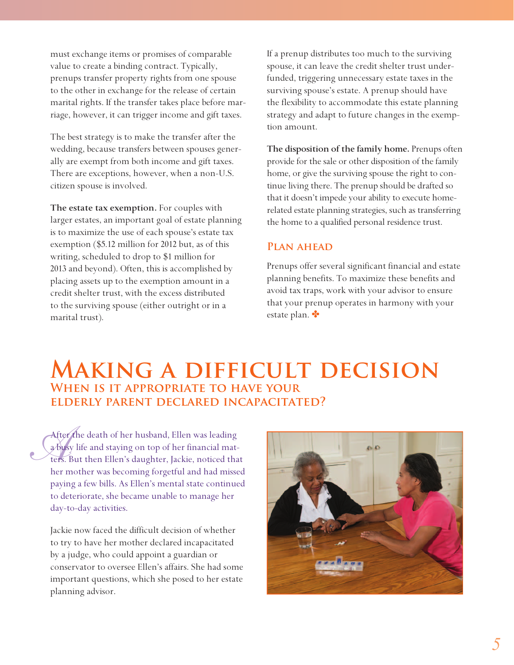must exchange items or promises of comparable value to create a binding contract. Typically, prenups transfer property rights from one spouse to the other in exchange for the release of certain marital rights. If the transfer takes place before marriage, however, it can trigger income and gift taxes.

The best strategy is to make the transfer after the wedding, because transfers between spouses generally are exempt from both income and gift taxes. There are exceptions, however, when a non-U.S. citizen spouse is involved.

**The estate tax exemption.** For couples with larger estates, an important goal of estate planning is to maximize the use of each spouse's estate tax exemption (\$5.12 million for 2012 but, as of this writing, scheduled to drop to \$1 million for 2013 and beyond). Often, this is accomplished by placing assets up to the exemption amount in a credit shelter trust, with the excess distributed to the surviving spouse (either outright or in a marital trust).

If a prenup distributes too much to the surviving spouse, it can leave the credit shelter trust underfunded, triggering unnecessary estate taxes in the surviving spouse's estate. A prenup should have the flexibility to accommodate this estate planning strategy and adapt to future changes in the exemption amount.

**The disposition of the family home.** Prenups often provide for the sale or other disposition of the family home, or give the surviving spouse the right to continue living there. The prenup should be drafted so that it doesn't impede your ability to execute homerelated estate planning strategies, such as transferring the home to a qualified personal residence trust.

#### **Plan ahead**

Prenups offer several significant financial and estate planning benefits. To maximize these benefits and avoid tax traps, work with your advisor to ensure that your prenup operates in harmony with your estate plan.  $\bullet$ 

## **Making a difficult decision When is it appropriate to have your elderly parent declared incapacitated?**

*After the death of her husband, Ellen was leading*<br> *Abusy life and staying on top of her financial matters.* But then Ellen's daughter, Jackie, noticed that a busy life and staying on top of her financial matters. But then Ellen's daughter, Jackie, noticed that her mother was becoming forgetful and had missed paying a few bills. As Ellen's mental state continued to deteriorate, she became unable to manage her day-to-day activities.

Jackie now faced the difficult decision of whether to try to have her mother declared incapacitated by a judge, who could appoint a guardian or conservator to oversee Ellen's affairs. She had some important questions, which she posed to her estate planning advisor.

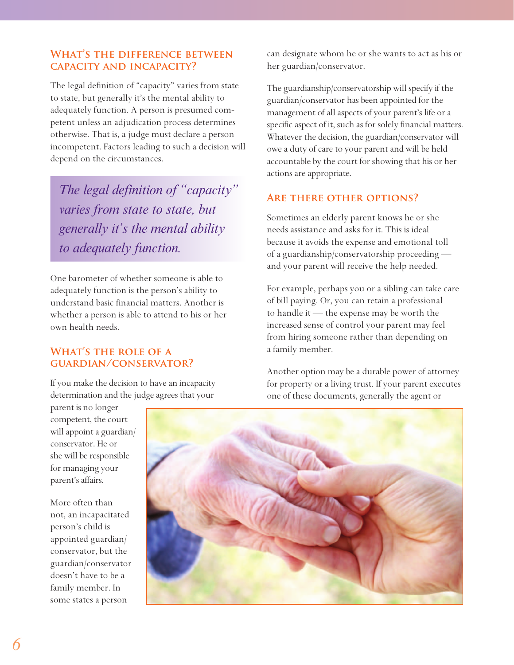#### **What's the difference between capacity and incapacity?**

The legal definition of "capacity" varies from state to state, but generally it's the mental ability to adequately function. A person is presumed competent unless an adjudication process determines otherwise. That is, a judge must declare a person incompetent. Factors leading to such a decision will depend on the circumstances.

*The legal definition of "capacity" varies from state to state, but generally it's the mental ability to adequately function.*

One barometer of whether someone is able to adequately function is the person's ability to understand basic financial matters. Another is whether a person is able to attend to his or her own health needs.

#### **What's the role of a guardian/conservator?**

If you make the decision to have an incapacity determination and the judge agrees that your

can designate whom he or she wants to act as his or her guardian/conservator.

The guardianship/conservatorship will specify if the guardian/conservator has been appointed for the management of all aspects of your parent's life or a specific aspect of it, such as for solely financial matters. Whatever the decision, the guardian/conservator will owe a duty of care to your parent and will be held accountable by the court for showing that his or her actions are appropriate.

#### **Are there other options?**

Sometimes an elderly parent knows he or she needs assistance and asks for it. This is ideal because it avoids the expense and emotional toll of a guardianship/conservatorship proceeding and your parent will receive the help needed.

For example, perhaps you or a sibling can take care of bill paying. Or, you can retain a professional to handle it — the expense may be worth the increased sense of control your parent may feel from hiring someone rather than depending on a family member.

Another option may be a durable power of attorney for property or a living trust. If your parent executes one of these documents, generally the agent or

parent is no longer competent, the court will appoint a guardian/ conservator. He or she will be responsible for managing your parent's affairs.

More often than not, an incapacitated person's child is appointed guardian/ conservator, but the guardian/conservator doesn't have to be a family member. In some states a person